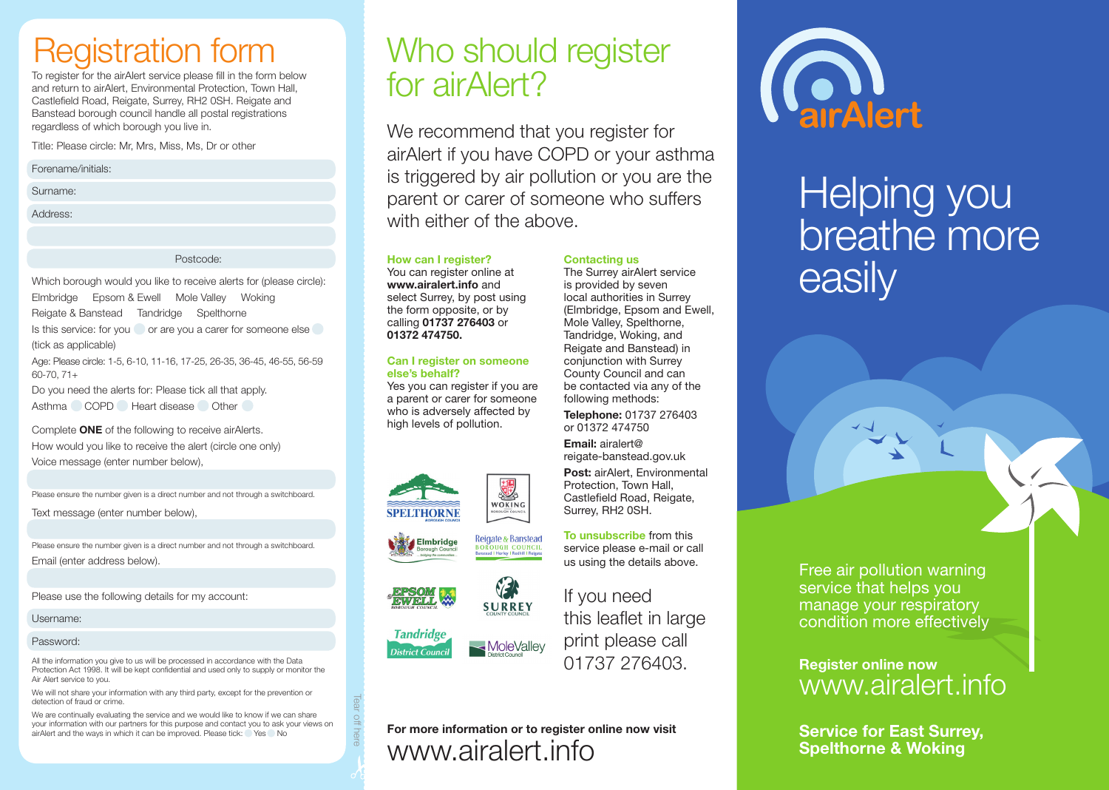# Registration form

To register for the airAlert service please fill in the form below and return to airAlert, Environmental Protection, Town Hall, Castlefield Road, Reigate, Surrey, RH2 0SH. Reigate and Banstead borough council handle all postal registrations regardless of which borough you live in.

Title: Please circle: Mr, Mrs, Miss, Ms, Dr or other

Forename/initials:

Surname:

Address:

Postcode:

Which borough would you like to receive alerts for (please circle): Elmbridge Epsom & Ewell Mole Valley Woking Reigate & Banstead Tandridge Spelthorne Is this service: for you or are you a carer for someone else (tick as applicable)

Age: Please circle: 1-5, 6-10, 11-16, 17-25, 26-35, 36-45, 46-55, 56-59 60-70, 71+

Do you need the alerts for: Please tick all that apply. Asthma COPD Heart disease Other

Complete ONE of the following to receive airAlerts. How would you like to receive the alert (circle one only) Voice message (enter number below),

Please ensure the number given is a direct number and not through a switchboard.

Text message (enter number below),

Please ensure the number given is a direct number and not through a switchboard. Email (enter address below).

Please use the following details for my account:

Username:

#### Password:

All the information you give to us will be processed in accordance with the Data Protection Act 1998. It will be kept confidential and used only to supply or monitor the Air Alert service to you.

We will not share your information with any third party, except for the prevention or detection of fraud or crime.

We are continually evaluating the service and we would like to know if we can share your information with our partners for this purpose and contact you to ask your views on airAlert and the ways in which it can be improved. Please tick: Yes No

## Who should register for airAlert?

We recommend that you register for airAlert if you have COPD or your asthma is triggered by air pollution or you are the parent or carer of someone who suffers with either of the above.

Contacting us

The Surrey airAlert service is provided by seven local authorities in Surrey (Elmbridge, Epsom and Ewell, Mole Valley, Spelthorne, Tandridge, Woking, and Reigate and Banstead) in conjunction with Surrey County Council and can be contacted via any of the following methods: Telephone: 01737 276403 or 01372 474750 Email: airalert@ reigate-banstead.gov.uk Post: airAlert, Environmental Protection, Town Hall, Castlefield Road, Reigate, Surrey, RH2 0SH.

How can I register?

You can register online at www.airalert.info and select Surrey, by post using the form opposite, or by calling 01737 276403 or 01372 474750.

#### Can I register on someone else's behalf?

Yes you can register if you are a parent or carer for someone who is adversely affected by high levels of pollution.









If you need this leaflet in large print please call 01737 276403.

To unsubscribe from this service please e-mail or call us using the details above.

### For more information or to register online now visit www.airalert.info



# Helping you breathe more easily

Free air pollution warning service that helps you manage your respiratory condition more effectively

### Register online now www.airalert.info

Service for East Surrey, Spelthorne & Woking



Tear off here